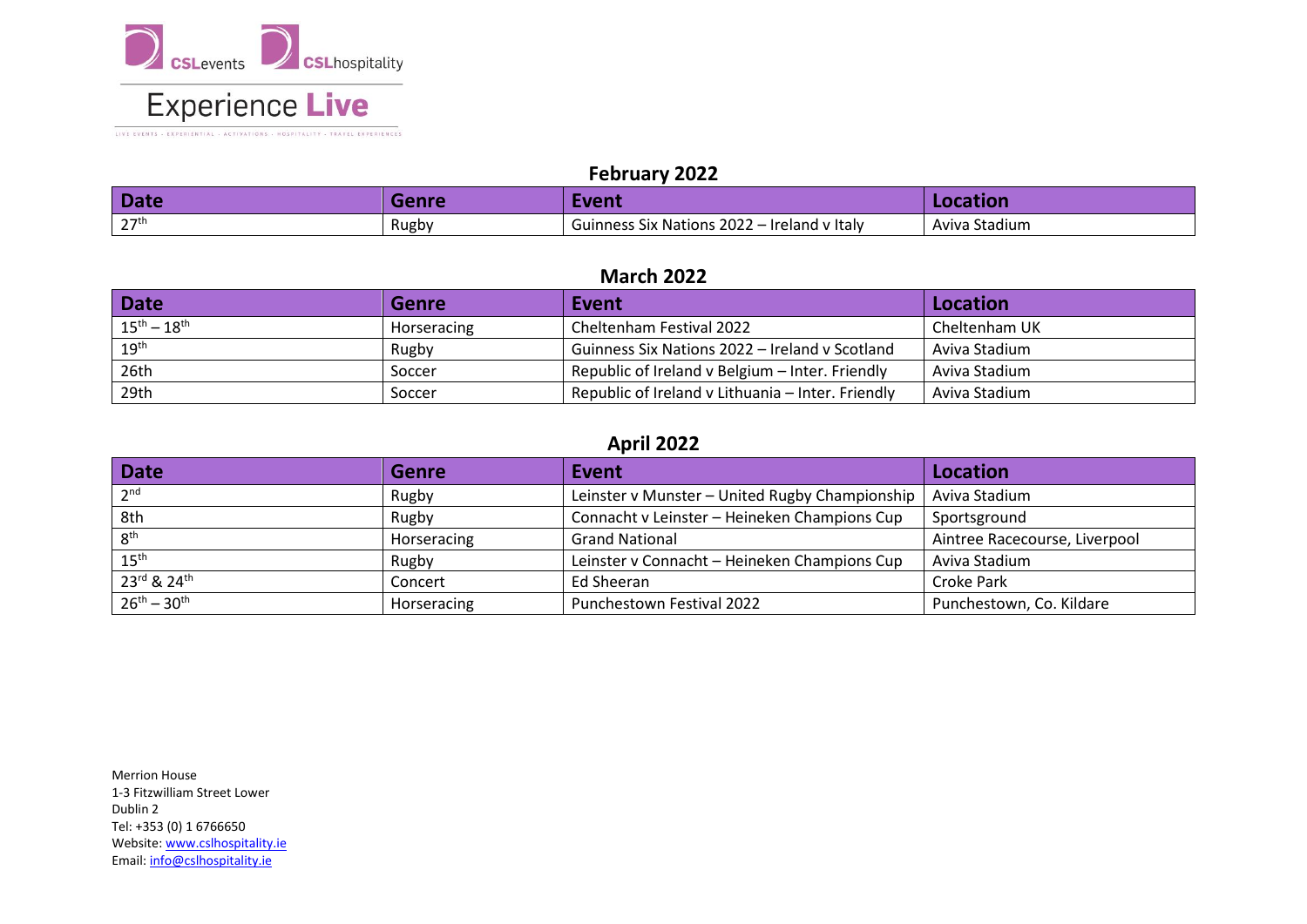

LIVE EVENTS . EXPERIENTIAL . ACTIVATIONS . HOSPITALITY . TRAVEL EXPERIENCES

### **February 2022**

| <b>Date</b> | <b>Renre</b> | Event                                       | Location      |
|-------------|--------------|---------------------------------------------|---------------|
| 27th<br>-   | Rugby        | Guinness Six Nations 2022 - Ireland v Italy | Aviva Stadium |

### **March 2022**

| <b>Date</b>         | <b>Genre</b> | Event                                             | Location      |
|---------------------|--------------|---------------------------------------------------|---------------|
| $15^{th} - 18^{th}$ | Horseracing  | Cheltenham Festival 2022                          | Cheltenham UK |
| $19^{\text{th}}$    | Rugby        | Guinness Six Nations 2022 – Ireland v Scotland    | Aviva Stadium |
| 26th                | Soccer       | Republic of Ireland v Belgium - Inter. Friendly   | Aviva Stadium |
| 29th                | Soccer       | Republic of Ireland v Lithuania – Inter. Friendly | Aviva Stadium |

## **April 2022**

| <b>Date</b>         | <b>Genre</b> | Event                                          | <b>Location</b>               |
|---------------------|--------------|------------------------------------------------|-------------------------------|
| 2 <sup>nd</sup>     | Rugby        | Leinster v Munster - United Rugby Championship | Aviva Stadium                 |
| 8th                 | Rugby        | Connacht v Leinster - Heineken Champions Cup   | Sportsground                  |
| 8 <sup>th</sup>     | Horseracing  | <b>Grand National</b>                          | Aintree Racecourse, Liverpool |
| $15^{\text{th}}$    | Rugby        | Leinster v Connacht - Heineken Champions Cup   | Aviva Stadium                 |
| 23rd & 24th         | Concert      | Ed Sheeran                                     | Croke Park                    |
| $26^{th} - 30^{th}$ | Horseracing  | Punchestown Festival 2022                      | Punchestown, Co. Kildare      |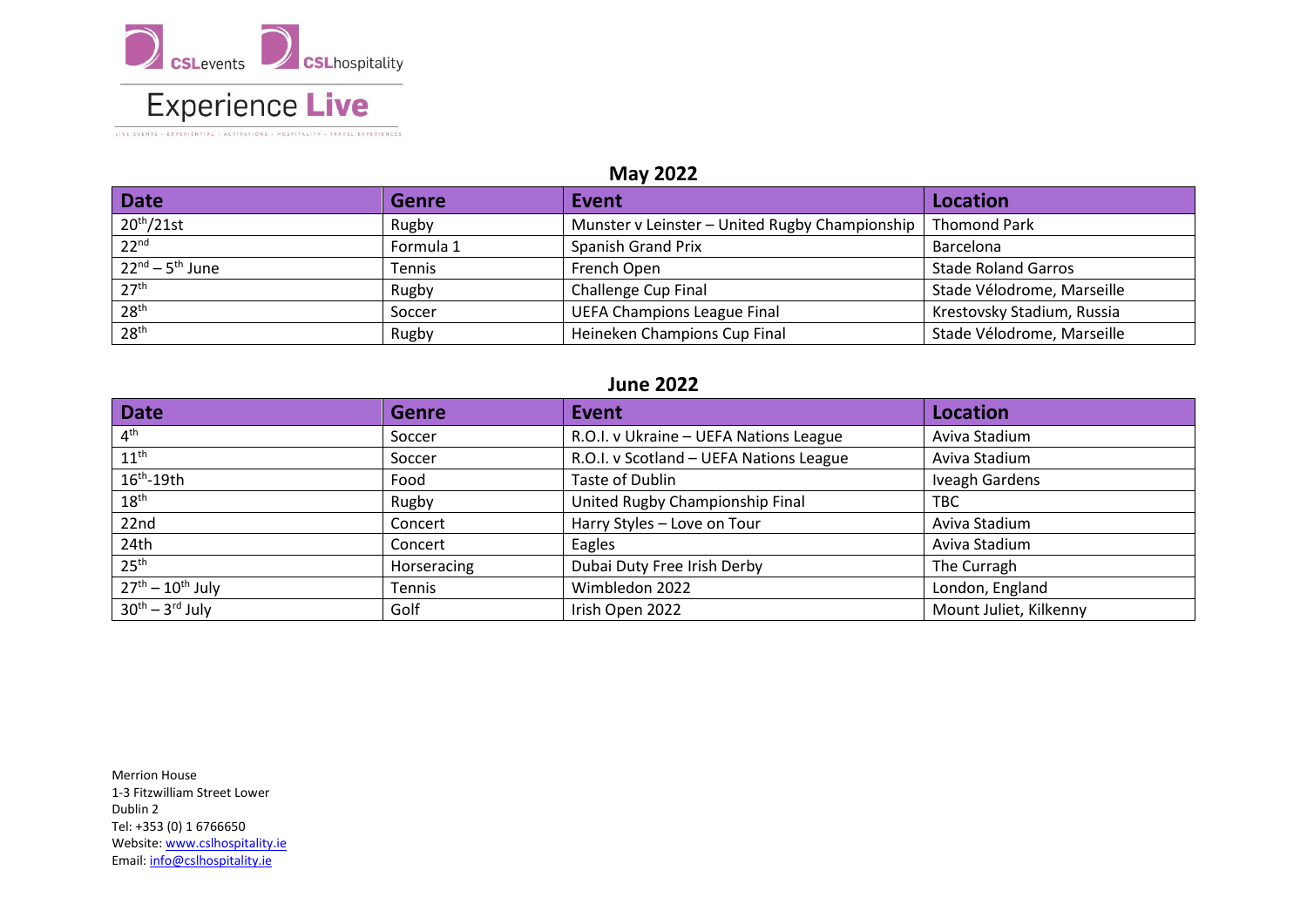

### **May 2022**

| Date                             | <b>Genre</b> | Event                                          | Location                   |
|----------------------------------|--------------|------------------------------------------------|----------------------------|
| 20 <sup>th</sup> /21st           | Rugby        | Munster v Leinster - United Rugby Championship | <b>Thomond Park</b>        |
| 22 <sup>nd</sup>                 | Formula 1    | <b>Spanish Grand Prix</b>                      | Barcelona                  |
| $22^{nd}$ – 5 <sup>th</sup> June | Tennis       | French Open                                    | <b>Stade Roland Garros</b> |
| 27 <sup>th</sup>                 | Rugby        | <b>Challenge Cup Final</b>                     | Stade Vélodrome, Marseille |
| 28 <sup>th</sup>                 | Soccer       | <b>UEFA Champions League Final</b>             | Krestovsky Stadium, Russia |
| 28 <sup>th</sup>                 | Rugby        | Heineken Champions Cup Final                   | Stade Vélodrome, Marseille |

#### **June 2022**

| <b>Date</b>                     | <b>Genre</b> | Event                                   | <b>Location</b>        |
|---------------------------------|--------------|-----------------------------------------|------------------------|
| 4 <sup>th</sup>                 | Soccer       | R.O.I. v Ukraine - UEFA Nations League  | Aviva Stadium          |
| $11^{\text{th}}$                | Soccer       | R.O.I. v Scotland - UEFA Nations League | Aviva Stadium          |
| $16th - 19th$                   | Food         | Taste of Dublin                         | Iveagh Gardens         |
| $18^{\text{th}}$                | Rugby        | United Rugby Championship Final         | TBC                    |
| 22nd                            | Concert      | Harry Styles - Love on Tour             | Aviva Stadium          |
| 24th                            | Concert      | Eagles                                  | Aviva Stadium          |
| 25 <sup>th</sup>                | Horseracing  | Dubai Duty Free Irish Derby             | The Curragh            |
| $\sqrt{27^{th}} - 10^{th}$ July | Tennis       | Wimbledon 2022                          | London, England        |
| $30th - 3rd$ July               | Golf         | Irish Open 2022                         | Mount Juliet, Kilkenny |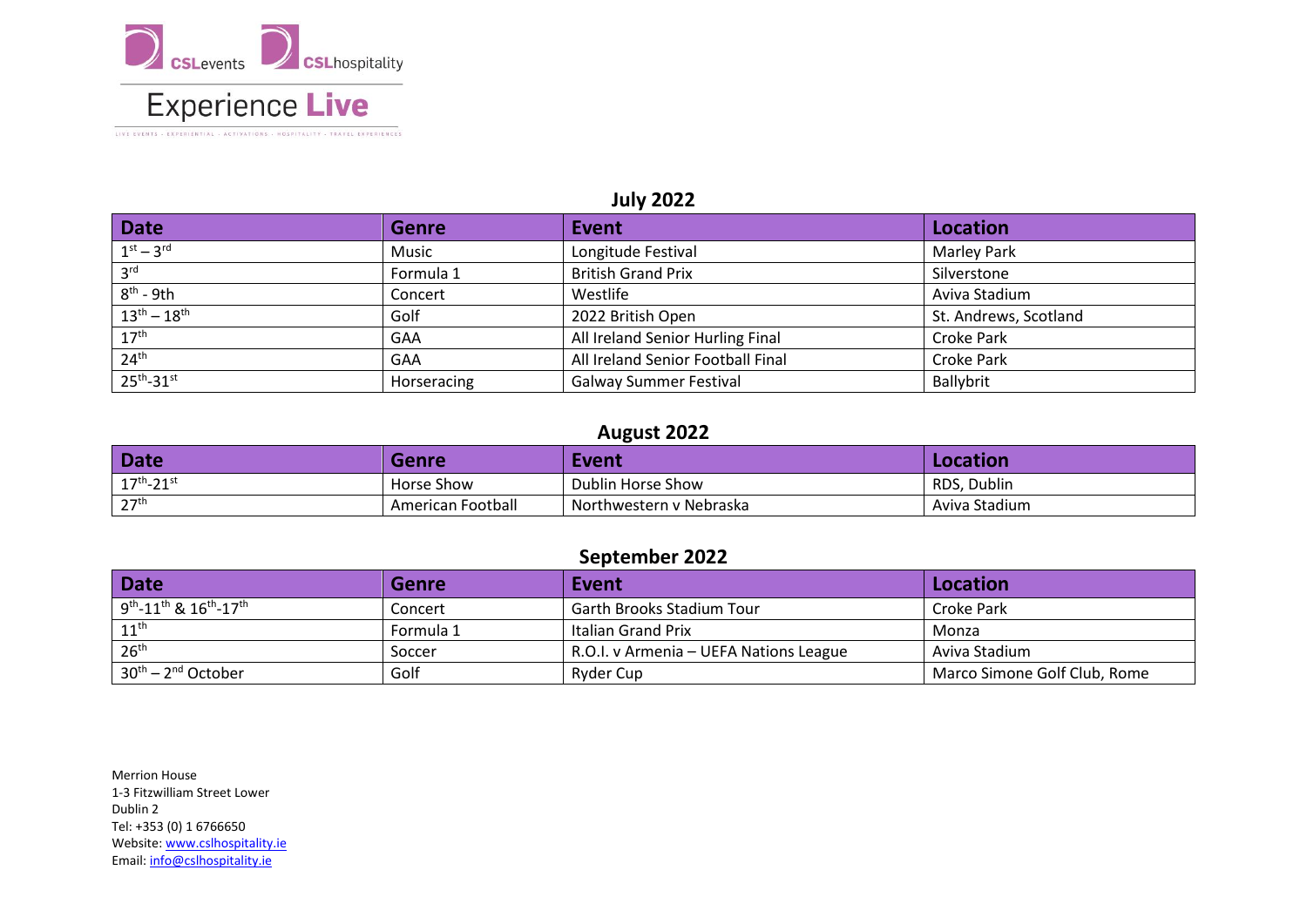

LIVE EVENTS . EXPERIENTIAL . ACTIVATIONS . HOSPITALITY . TRAVEL EXPERIENCES

## **July 2022**

| <b>Date</b>            | <b>Genre</b> | Event                             | Location              |
|------------------------|--------------|-----------------------------------|-----------------------|
| $1st - 3rd$            | Music        | Longitude Festival                | <b>Marley Park</b>    |
| 3 <sup>rd</sup>        | Formula 1    | <b>British Grand Prix</b>         | Silverstone           |
| $8th$ - 9th            | Concert      | Westlife                          | Aviva Stadium         |
| $13^{th} - 18^{th}$    | Golf         | 2022 British Open                 | St. Andrews, Scotland |
| $17^{\text{th}}$       | GAA          | All Ireland Senior Hurling Final  | <b>Croke Park</b>     |
| 24 <sup>th</sup>       | GAA          | All Ireland Senior Football Final | <b>Croke Park</b>     |
| 25 <sup>th</sup> -31st | Horseracing  | <b>Galway Summer Festival</b>     | Ballybrit             |

### **August 2022**

| Date                | Genre             | Event                   | Location      |
|---------------------|-------------------|-------------------------|---------------|
| $17^{th} - 21^{st}$ | Horse Show        | Dublin Horse Show       | RDS, Dublin   |
| 27 <sup>th</sup>    | American Football | Northwestern v Nebraska | Aviva Stadium |

## **September 2022**

| Date                                                                   | <b>Genre</b> | Event                                  | Location                     |
|------------------------------------------------------------------------|--------------|----------------------------------------|------------------------------|
| $9^{\text{th}}$ -11 <sup>th</sup> & 16 <sup>th</sup> -17 <sup>th</sup> | Concert      | <b>Garth Brooks Stadium Tour</b>       | Croke Park                   |
| $11^{\text{th}}$                                                       | Formula 1    | Italian Grand Prix                     | Monza                        |
| 26 <sup>th</sup>                                                       | Soccer       | R.O.I. v Armenia – UEFA Nations League | Aviva Stadium                |
| $30^{th}$ – 2 <sup>nd</sup> October                                    | Golf         | Ryder Cup                              | Marco Simone Golf Club, Rome |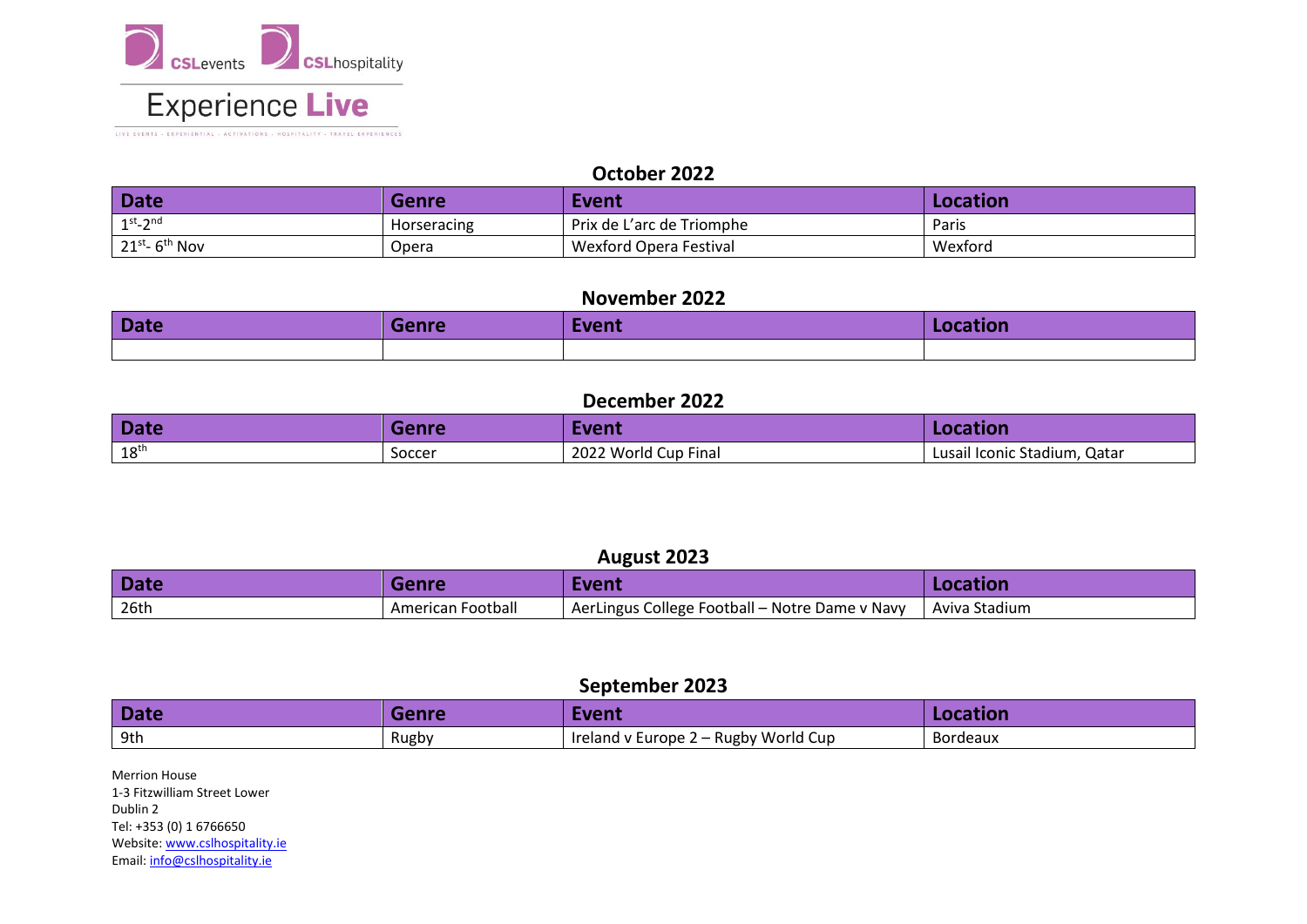

LIVE EVENTS - EXPERIENTIAL - ACTIVATIONS - HOSPITALITY - TRAVEL EXPERIENCES

#### **October 2022**

| <b>Date</b>                     | <b>Genre</b>       | Event                     | Location |
|---------------------------------|--------------------|---------------------------|----------|
| $1^{st}$ -2 <sup>nd</sup>       | <b>Horseracing</b> | Prix de L'arc de Triomphe | Paris    |
| $21^{st}$ - 6 <sup>th</sup> Nov | Opera              | Nexford Opera Festival    | Wexford  |

#### **November 2022**

| Date | Genre | Event | <b>Location</b> |
|------|-------|-------|-----------------|
|      |       |       |                 |

## **December 2022**

| Date             | <b>Genre</b>  | Event                | Location                     |
|------------------|---------------|----------------------|------------------------------|
| 18 <sup>th</sup> | <b>SOCCER</b> | 2022 World Cup Final | Lusail Iconic Stadium, Qatar |

## **August 2023**

| <b>Date</b> | Genre             | Event                                          | Location      |
|-------------|-------------------|------------------------------------------------|---------------|
| 26th        | American Football | AerLingus College Football - Notre Dame v Navy | Aviva Stadium |

## **September 2023**

| Date | 10000 | Event                                                    | LOCALION |
|------|-------|----------------------------------------------------------|----------|
| 9th  | Rugby | 2 – Rugby World Cup<br>Ireland<br>$\vee$ Europe $\angle$ | Bordeaux |